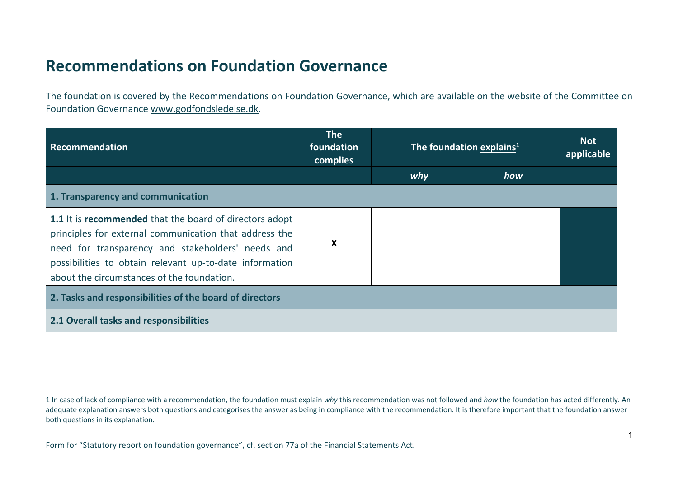## **Recommendations on Foundation Governance**

The foundation is covered by the Recommendations on Foundation Governance, which are available on the website of the Committee on Foundation Governance www.godfondsledelse.dk.

| Recommendation                                                                                                                                                                                                                                                                  | <b>The</b><br>foundation<br>complies | The foundation explains <sup>1</sup> |     | <b>Not</b><br>applicable |
|---------------------------------------------------------------------------------------------------------------------------------------------------------------------------------------------------------------------------------------------------------------------------------|--------------------------------------|--------------------------------------|-----|--------------------------|
|                                                                                                                                                                                                                                                                                 |                                      | why                                  | how |                          |
| 1. Transparency and communication                                                                                                                                                                                                                                               |                                      |                                      |     |                          |
| 1.1 It is recommended that the board of directors adopt<br>principles for external communication that address the<br>need for transparency and stakeholders' needs and<br>possibilities to obtain relevant up-to-date information<br>about the circumstances of the foundation. | X                                    |                                      |     |                          |
| 2. Tasks and responsibilities of the board of directors                                                                                                                                                                                                                         |                                      |                                      |     |                          |
| 2.1 Overall tasks and responsibilities                                                                                                                                                                                                                                          |                                      |                                      |     |                          |

<sup>1</sup> In case of lack of compliance with a recommendation, the foundation must explain *why* this recommendation was not followed and *how* the foundation has acted differently. An adequate explanation answers both questions and categorises the answer as being in compliance with the recommendation. It is therefore important that the foundation answer both questions in its explanation.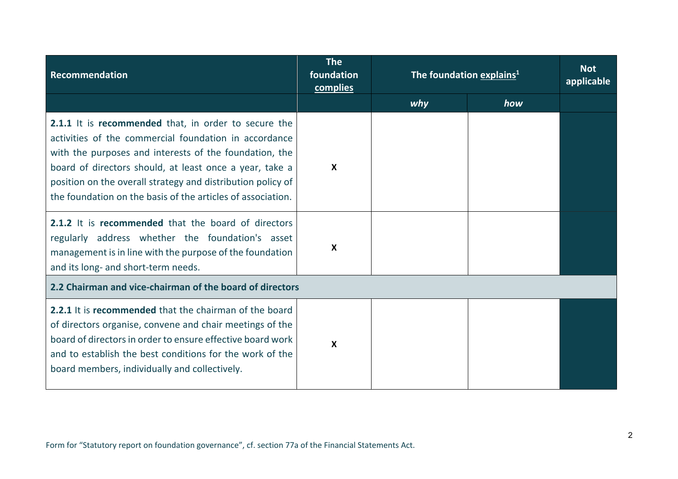| Recommendation                                                                                                                                                                                                                                                                                                                                                   | <b>The</b><br>foundation<br>complies | The foundation explains <sup>1</sup> |     | <b>Not</b><br>applicable |
|------------------------------------------------------------------------------------------------------------------------------------------------------------------------------------------------------------------------------------------------------------------------------------------------------------------------------------------------------------------|--------------------------------------|--------------------------------------|-----|--------------------------|
|                                                                                                                                                                                                                                                                                                                                                                  |                                      | why                                  | how |                          |
| 2.1.1 It is recommended that, in order to secure the<br>activities of the commercial foundation in accordance<br>with the purposes and interests of the foundation, the<br>board of directors should, at least once a year, take a<br>position on the overall strategy and distribution policy of<br>the foundation on the basis of the articles of association. | $\boldsymbol{\mathsf{x}}$            |                                      |     |                          |
| 2.1.2 It is recommended that the board of directors<br>regularly address whether the foundation's asset<br>management is in line with the purpose of the foundation<br>and its long- and short-term needs.                                                                                                                                                       | X                                    |                                      |     |                          |
| 2.2 Chairman and vice-chairman of the board of directors                                                                                                                                                                                                                                                                                                         |                                      |                                      |     |                          |
| 2.2.1 It is recommended that the chairman of the board<br>of directors organise, convene and chair meetings of the<br>board of directors in order to ensure effective board work<br>and to establish the best conditions for the work of the<br>board members, individually and collectively.                                                                    | X                                    |                                      |     |                          |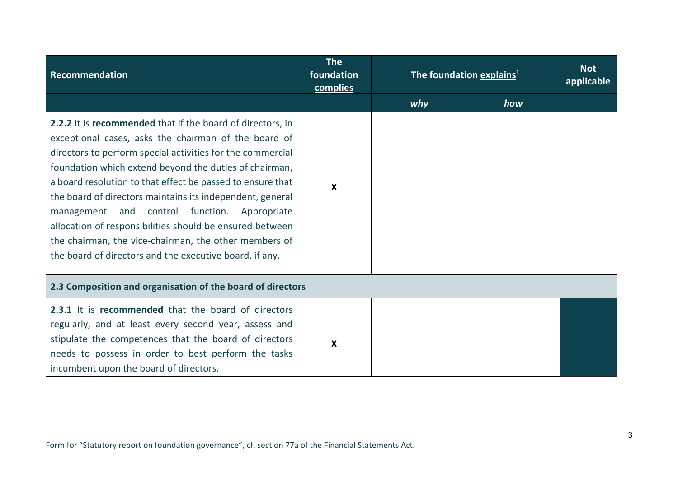| Recommendation                                                                                                                                                                                                                                                                                                                                                                                                                                                                                                                                                                                        | <b>The</b><br>foundation<br>complies | The foundation explains <sup>1</sup> |     | <b>Not</b><br>applicable |
|-------------------------------------------------------------------------------------------------------------------------------------------------------------------------------------------------------------------------------------------------------------------------------------------------------------------------------------------------------------------------------------------------------------------------------------------------------------------------------------------------------------------------------------------------------------------------------------------------------|--------------------------------------|--------------------------------------|-----|--------------------------|
|                                                                                                                                                                                                                                                                                                                                                                                                                                                                                                                                                                                                       |                                      | why                                  | how |                          |
| 2.2.2 It is recommended that if the board of directors, in<br>exceptional cases, asks the chairman of the board of<br>directors to perform special activities for the commercial<br>foundation which extend beyond the duties of chairman,<br>a board resolution to that effect be passed to ensure that<br>the board of directors maintains its independent, general<br>management and control function. Appropriate<br>allocation of responsibilities should be ensured between<br>the chairman, the vice-chairman, the other members of<br>the board of directors and the executive board, if any. | $\mathbf{x}$                         |                                      |     |                          |
| 2.3 Composition and organisation of the board of directors                                                                                                                                                                                                                                                                                                                                                                                                                                                                                                                                            |                                      |                                      |     |                          |
| 2.3.1 It is recommended that the board of directors<br>regularly, and at least every second year, assess and<br>stipulate the competences that the board of directors<br>needs to possess in order to best perform the tasks<br>incumbent upon the board of directors.                                                                                                                                                                                                                                                                                                                                | X                                    |                                      |     |                          |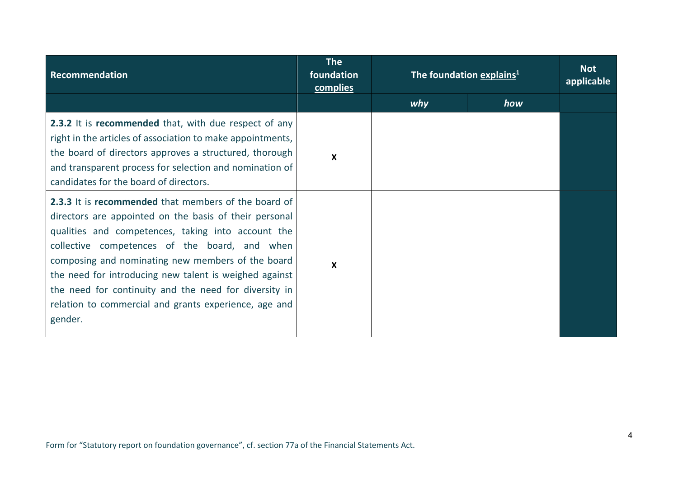| Recommendation                                                                                                                                                                                                                                                                                                                                                                                                                                                    | <b>The</b><br>foundation<br>complies | The foundation explains <sup>1</sup> |     | <b>Not</b><br>applicable |
|-------------------------------------------------------------------------------------------------------------------------------------------------------------------------------------------------------------------------------------------------------------------------------------------------------------------------------------------------------------------------------------------------------------------------------------------------------------------|--------------------------------------|--------------------------------------|-----|--------------------------|
|                                                                                                                                                                                                                                                                                                                                                                                                                                                                   |                                      | why                                  | how |                          |
| 2.3.2 It is recommended that, with due respect of any<br>right in the articles of association to make appointments,<br>the board of directors approves a structured, thorough<br>and transparent process for selection and nomination of<br>candidates for the board of directors.                                                                                                                                                                                | X                                    |                                      |     |                          |
| 2.3.3 It is recommended that members of the board of<br>directors are appointed on the basis of their personal<br>qualities and competences, taking into account the<br>collective competences of the board, and when<br>composing and nominating new members of the board<br>the need for introducing new talent is weighed against<br>the need for continuity and the need for diversity in<br>relation to commercial and grants experience, age and<br>gender. | X                                    |                                      |     |                          |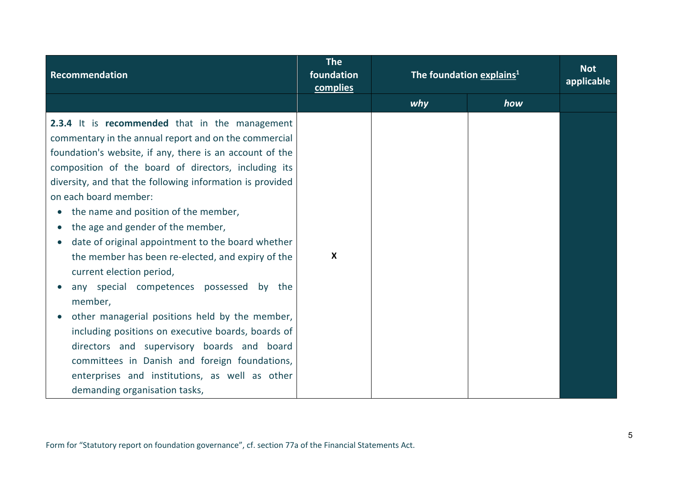| Recommendation                                                                                                                                                                                                                                                                                                                                                                                                                                                                                                                                                                                                                                                                                                                                                                                                                                                                                     | <b>The</b><br>foundation<br>complies | The foundation explains <sup>1</sup> |     | <b>Not</b><br>applicable |
|----------------------------------------------------------------------------------------------------------------------------------------------------------------------------------------------------------------------------------------------------------------------------------------------------------------------------------------------------------------------------------------------------------------------------------------------------------------------------------------------------------------------------------------------------------------------------------------------------------------------------------------------------------------------------------------------------------------------------------------------------------------------------------------------------------------------------------------------------------------------------------------------------|--------------------------------------|--------------------------------------|-----|--------------------------|
|                                                                                                                                                                                                                                                                                                                                                                                                                                                                                                                                                                                                                                                                                                                                                                                                                                                                                                    |                                      | why                                  | how |                          |
| 2.3.4 It is recommended that in the management<br>commentary in the annual report and on the commercial<br>foundation's website, if any, there is an account of the<br>composition of the board of directors, including its<br>diversity, and that the following information is provided<br>on each board member:<br>the name and position of the member,<br>$\bullet$<br>the age and gender of the member,<br>date of original appointment to the board whether<br>the member has been re-elected, and expiry of the<br>current election period,<br>any special competences possessed by the<br>member,<br>other managerial positions held by the member,<br>including positions on executive boards, boards of<br>directors and supervisory boards and board<br>committees in Danish and foreign foundations,<br>enterprises and institutions, as well as other<br>demanding organisation tasks, | $\boldsymbol{\mathsf{X}}$            |                                      |     |                          |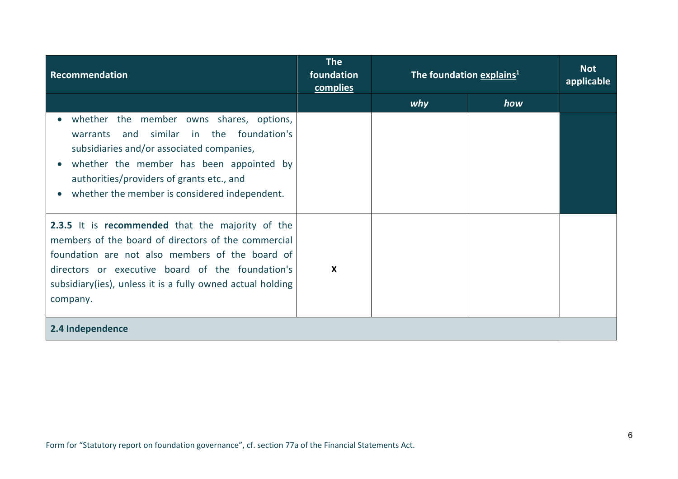| Recommendation                                                                                                                                                                                                                                                                           | <b>The</b><br>foundation<br>complies | The foundation explains <sup>1</sup> |     | <b>Not</b><br>applicable |
|------------------------------------------------------------------------------------------------------------------------------------------------------------------------------------------------------------------------------------------------------------------------------------------|--------------------------------------|--------------------------------------|-----|--------------------------|
|                                                                                                                                                                                                                                                                                          |                                      | why                                  | how |                          |
| whether the member owns shares, options,<br>similar in the foundation's<br>warrants<br>and<br>subsidiaries and/or associated companies,<br>whether the member has been appointed by<br>authorities/providers of grants etc., and<br>whether the member is considered independent.        |                                      |                                      |     |                          |
| 2.3.5 It is recommended that the majority of the<br>members of the board of directors of the commercial<br>foundation are not also members of the board of<br>directors or executive board of the foundation's<br>subsidiary(ies), unless it is a fully owned actual holding<br>company. | $\mathbf{x}$                         |                                      |     |                          |
| 2.4 Independence                                                                                                                                                                                                                                                                         |                                      |                                      |     |                          |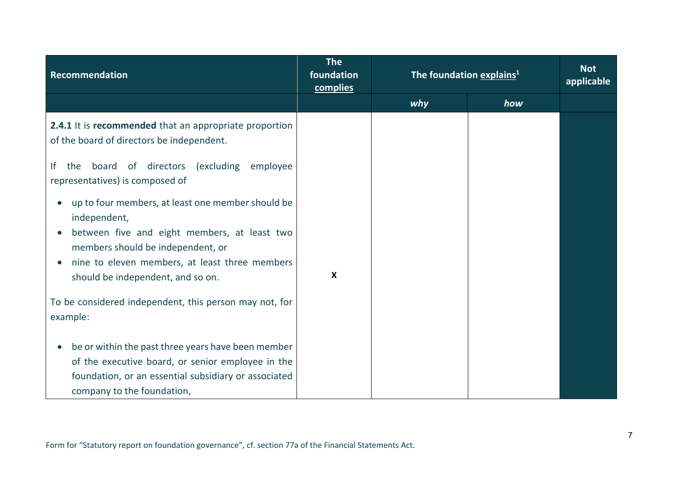| Recommendation                                                                                                                                                                                                                                | <b>The</b><br>foundation<br>complies | The foundation explains <sup>1</sup> |     | <b>Not</b><br>applicable |
|-----------------------------------------------------------------------------------------------------------------------------------------------------------------------------------------------------------------------------------------------|--------------------------------------|--------------------------------------|-----|--------------------------|
|                                                                                                                                                                                                                                               |                                      | why                                  | how |                          |
| 2.4.1 It is recommended that an appropriate proportion<br>of the board of directors be independent.                                                                                                                                           |                                      |                                      |     |                          |
| board of directors<br>(excluding)<br>lf.<br>the<br>employee<br>representatives) is composed of                                                                                                                                                |                                      |                                      |     |                          |
| up to four members, at least one member should be<br>independent,<br>between five and eight members, at least two<br>members should be independent, or<br>nine to eleven members, at least three members<br>should be independent, and so on. | $\boldsymbol{\mathsf{X}}$            |                                      |     |                          |
| To be considered independent, this person may not, for<br>example:                                                                                                                                                                            |                                      |                                      |     |                          |
| be or within the past three years have been member<br>of the executive board, or senior employee in the<br>foundation, or an essential subsidiary or associated<br>company to the foundation,                                                 |                                      |                                      |     |                          |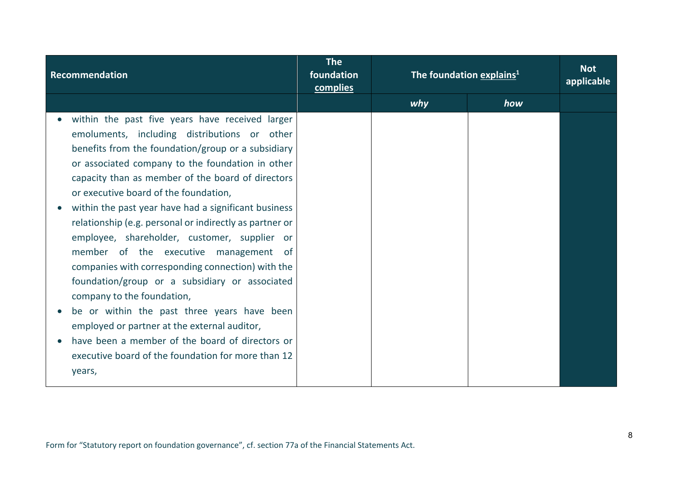| Recommendation                                          | <b>The</b><br>foundation<br>complies | The foundation explains <sup>1</sup> |     | <b>Not</b><br>applicable |
|---------------------------------------------------------|--------------------------------------|--------------------------------------|-----|--------------------------|
|                                                         |                                      | why                                  | how |                          |
| within the past five years have received larger         |                                      |                                      |     |                          |
| emoluments, including distributions or other            |                                      |                                      |     |                          |
| benefits from the foundation/group or a subsidiary      |                                      |                                      |     |                          |
| or associated company to the foundation in other        |                                      |                                      |     |                          |
| capacity than as member of the board of directors       |                                      |                                      |     |                          |
| or executive board of the foundation,                   |                                      |                                      |     |                          |
| within the past year have had a significant business    |                                      |                                      |     |                          |
| relationship (e.g. personal or indirectly as partner or |                                      |                                      |     |                          |
| employee, shareholder, customer, supplier or            |                                      |                                      |     |                          |
| member of the executive management of                   |                                      |                                      |     |                          |
| companies with corresponding connection) with the       |                                      |                                      |     |                          |
| foundation/group or a subsidiary or associated          |                                      |                                      |     |                          |
| company to the foundation,                              |                                      |                                      |     |                          |
| be or within the past three years have been             |                                      |                                      |     |                          |
| employed or partner at the external auditor,            |                                      |                                      |     |                          |
| have been a member of the board of directors or         |                                      |                                      |     |                          |
| executive board of the foundation for more than 12      |                                      |                                      |     |                          |
| years,                                                  |                                      |                                      |     |                          |
|                                                         |                                      |                                      |     |                          |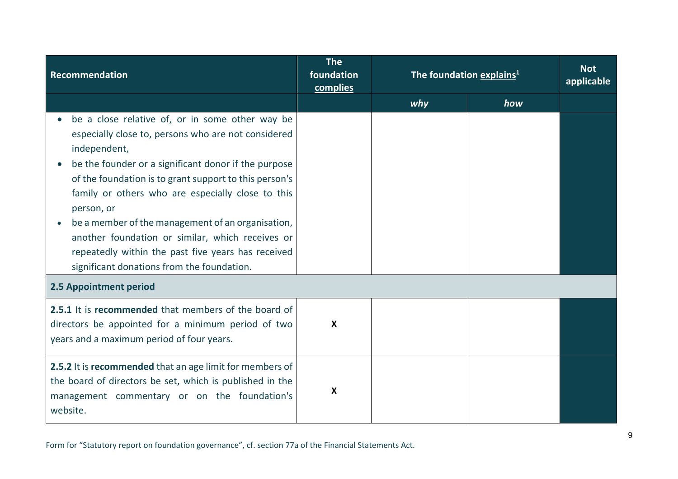| Recommendation                                                                                                                                                                                                                                                                                                                                                                                                                                                                                                           | <b>The</b><br>foundation<br>complies | The foundation explains <sup>1</sup> |     | <b>Not</b><br>applicable |
|--------------------------------------------------------------------------------------------------------------------------------------------------------------------------------------------------------------------------------------------------------------------------------------------------------------------------------------------------------------------------------------------------------------------------------------------------------------------------------------------------------------------------|--------------------------------------|--------------------------------------|-----|--------------------------|
|                                                                                                                                                                                                                                                                                                                                                                                                                                                                                                                          |                                      | why                                  | how |                          |
| be a close relative of, or in some other way be<br>especially close to, persons who are not considered<br>independent,<br>be the founder or a significant donor if the purpose<br>of the foundation is to grant support to this person's<br>family or others who are especially close to this<br>person, or<br>be a member of the management of an organisation,<br>another foundation or similar, which receives or<br>repeatedly within the past five years has received<br>significant donations from the foundation. |                                      |                                      |     |                          |
| 2.5 Appointment period                                                                                                                                                                                                                                                                                                                                                                                                                                                                                                   |                                      |                                      |     |                          |
| 2.5.1 It is recommended that members of the board of<br>directors be appointed for a minimum period of two<br>years and a maximum period of four years.                                                                                                                                                                                                                                                                                                                                                                  | $\boldsymbol{\mathsf{X}}$            |                                      |     |                          |
| 2.5.2 It is recommended that an age limit for members of<br>the board of directors be set, which is published in the<br>management commentary or on the foundation's<br>website.                                                                                                                                                                                                                                                                                                                                         | X                                    |                                      |     |                          |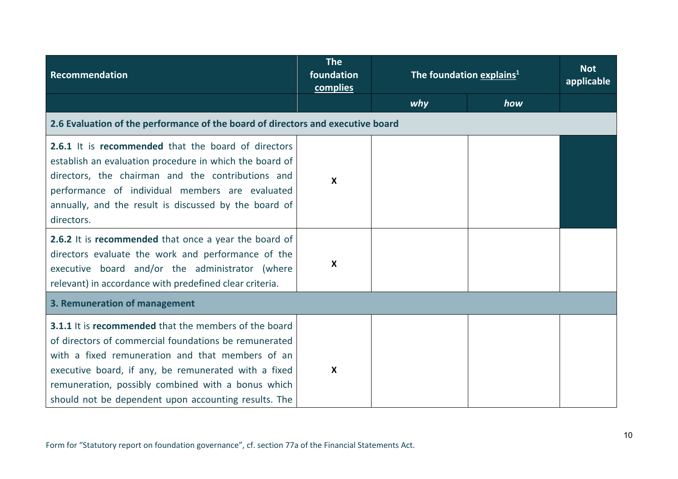| Recommendation                                                                                                                                                                                                                                                                                                                                  | <b>The</b><br>foundation<br>complies | The foundation explains <sup>1</sup> |     | <b>Not</b><br>applicable |
|-------------------------------------------------------------------------------------------------------------------------------------------------------------------------------------------------------------------------------------------------------------------------------------------------------------------------------------------------|--------------------------------------|--------------------------------------|-----|--------------------------|
|                                                                                                                                                                                                                                                                                                                                                 |                                      | why                                  | how |                          |
| 2.6 Evaluation of the performance of the board of directors and executive board                                                                                                                                                                                                                                                                 |                                      |                                      |     |                          |
| 2.6.1 It is recommended that the board of directors<br>establish an evaluation procedure in which the board of<br>directors, the chairman and the contributions and<br>performance of individual members are evaluated<br>annually, and the result is discussed by the board of<br>directors.                                                   | $\boldsymbol{\mathsf{X}}$            |                                      |     |                          |
| 2.6.2 It is recommended that once a year the board of<br>directors evaluate the work and performance of the<br>executive board and/or the administrator (where<br>relevant) in accordance with predefined clear criteria.                                                                                                                       | $\boldsymbol{X}$                     |                                      |     |                          |
| 3. Remuneration of management                                                                                                                                                                                                                                                                                                                   |                                      |                                      |     |                          |
| <b>3.1.1</b> It is recommended that the members of the board<br>of directors of commercial foundations be remunerated<br>with a fixed remuneration and that members of an<br>executive board, if any, be remunerated with a fixed<br>remuneration, possibly combined with a bonus which<br>should not be dependent upon accounting results. The | $\boldsymbol{X}$                     |                                      |     |                          |